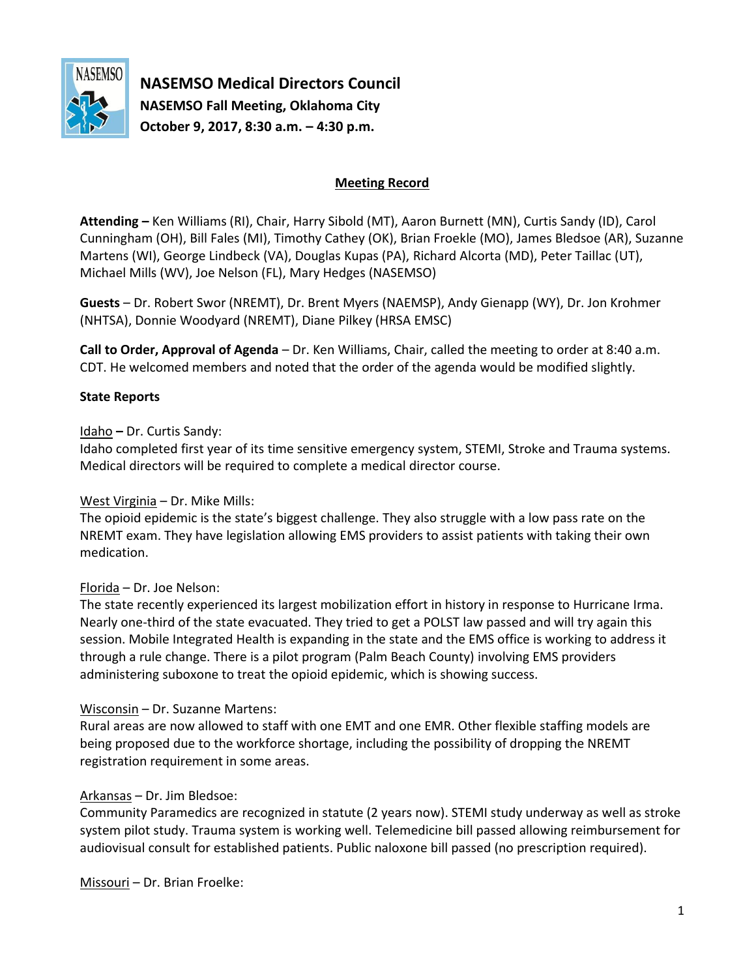

**NASEMSO Medical Directors Council NASEMSO Fall Meeting, Oklahoma City October 9, 2017, 8:30 a.m. – 4:30 p.m.**

## **Meeting Record**

**Attending –** Ken Williams (RI), Chair, Harry Sibold (MT), Aaron Burnett (MN), Curtis Sandy (ID), Carol Cunningham (OH), Bill Fales (MI), Timothy Cathey (OK), Brian Froekle (MO), James Bledsoe (AR), Suzanne Martens (WI), George Lindbeck (VA), Douglas Kupas (PA), Richard Alcorta (MD), Peter Taillac (UT), Michael Mills (WV), Joe Nelson (FL), Mary Hedges (NASEMSO)

**Guests** – Dr. Robert Swor (NREMT), Dr. Brent Myers (NAEMSP), Andy Gienapp (WY), Dr. Jon Krohmer (NHTSA), Donnie Woodyard (NREMT), Diane Pilkey (HRSA EMSC)

**Call to Order, Approval of Agenda** – Dr. Ken Williams, Chair, called the meeting to order at 8:40 a.m. CDT. He welcomed members and noted that the order of the agenda would be modified slightly.

## **State Reports**

### Idaho **–** Dr. Curtis Sandy:

Idaho completed first year of its time sensitive emergency system, STEMI, Stroke and Trauma systems. Medical directors will be required to complete a medical director course.

### West Virginia – Dr. Mike Mills:

The opioid epidemic is the state's biggest challenge. They also struggle with a low pass rate on the NREMT exam. They have legislation allowing EMS providers to assist patients with taking their own medication.

### Florida – Dr. Joe Nelson:

The state recently experienced its largest mobilization effort in history in response to Hurricane Irma. Nearly one-third of the state evacuated. They tried to get a POLST law passed and will try again this session. Mobile Integrated Health is expanding in the state and the EMS office is working to address it through a rule change. There is a pilot program (Palm Beach County) involving EMS providers administering suboxone to treat the opioid epidemic, which is showing success.

### Wisconsin – Dr. Suzanne Martens:

Rural areas are now allowed to staff with one EMT and one EMR. Other flexible staffing models are being proposed due to the workforce shortage, including the possibility of dropping the NREMT registration requirement in some areas.

### Arkansas – Dr. Jim Bledsoe:

Community Paramedics are recognized in statute (2 years now). STEMI study underway as well as stroke system pilot study. Trauma system is working well. Telemedicine bill passed allowing reimbursement for audiovisual consult for established patients. Public naloxone bill passed (no prescription required).

Missouri – Dr. Brian Froelke: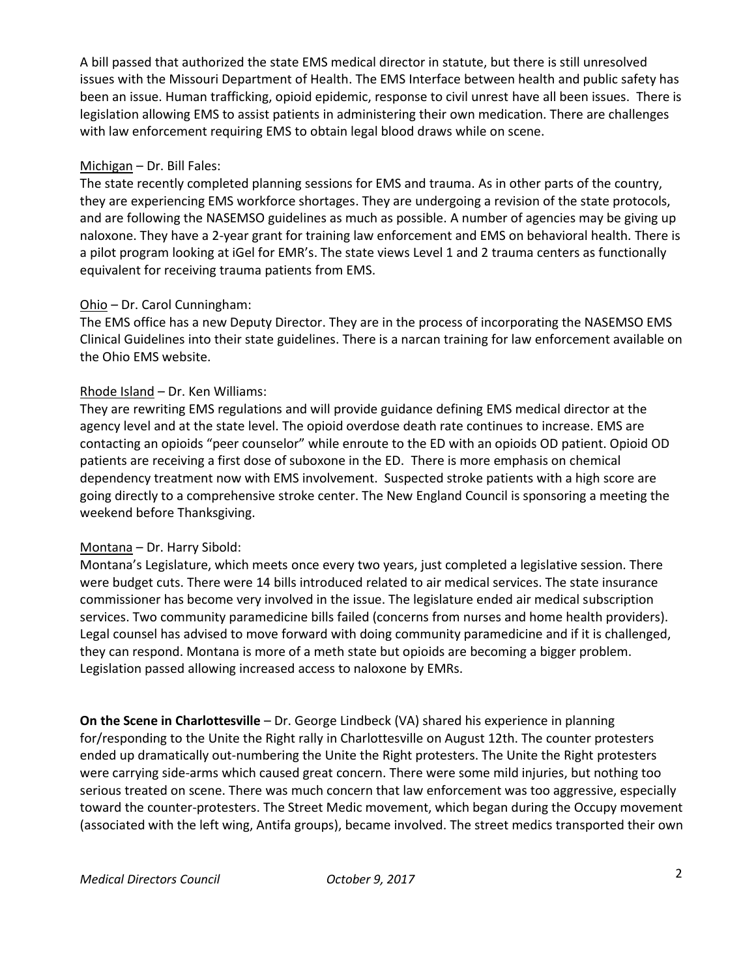A bill passed that authorized the state EMS medical director in statute, but there is still unresolved issues with the Missouri Department of Health. The EMS Interface between health and public safety has been an issue. Human trafficking, opioid epidemic, response to civil unrest have all been issues. There is legislation allowing EMS to assist patients in administering their own medication. There are challenges with law enforcement requiring EMS to obtain legal blood draws while on scene.

## Michigan – Dr. Bill Fales:

The state recently completed planning sessions for EMS and trauma. As in other parts of the country, they are experiencing EMS workforce shortages. They are undergoing a revision of the state protocols, and are following the NASEMSO guidelines as much as possible. A number of agencies may be giving up naloxone. They have a 2-year grant for training law enforcement and EMS on behavioral health. There is a pilot program looking at iGel for EMR's. The state views Level 1 and 2 trauma centers as functionally equivalent for receiving trauma patients from EMS.

## Ohio – Dr. Carol Cunningham:

The EMS office has a new Deputy Director. They are in the process of incorporating the NASEMSO EMS Clinical Guidelines into their state guidelines. There is a narcan training for law enforcement available on the Ohio EMS website.

## Rhode Island – Dr. Ken Williams:

They are rewriting EMS regulations and will provide guidance defining EMS medical director at the agency level and at the state level. The opioid overdose death rate continues to increase. EMS are contacting an opioids "peer counselor" while enroute to the ED with an opioids OD patient. Opioid OD patients are receiving a first dose of suboxone in the ED. There is more emphasis on chemical dependency treatment now with EMS involvement. Suspected stroke patients with a high score are going directly to a comprehensive stroke center. The New England Council is sponsoring a meeting the weekend before Thanksgiving.

# Montana – Dr. Harry Sibold:

Montana's Legislature, which meets once every two years, just completed a legislative session. There were budget cuts. There were 14 bills introduced related to air medical services. The state insurance commissioner has become very involved in the issue. The legislature ended air medical subscription services. Two community paramedicine bills failed (concerns from nurses and home health providers). Legal counsel has advised to move forward with doing community paramedicine and if it is challenged, they can respond. Montana is more of a meth state but opioids are becoming a bigger problem. Legislation passed allowing increased access to naloxone by EMRs.

**On the Scene in Charlottesville** – Dr. George Lindbeck (VA) shared his experience in planning for/responding to the Unite the Right rally in Charlottesville on August 12th. The counter protesters ended up dramatically out-numbering the Unite the Right protesters. The Unite the Right protesters were carrying side-arms which caused great concern. There were some mild injuries, but nothing too serious treated on scene. There was much concern that law enforcement was too aggressive, especially toward the counter-protesters. The Street Medic movement, which began during the Occupy movement (associated with the left wing, Antifa groups), became involved. The street medics transported their own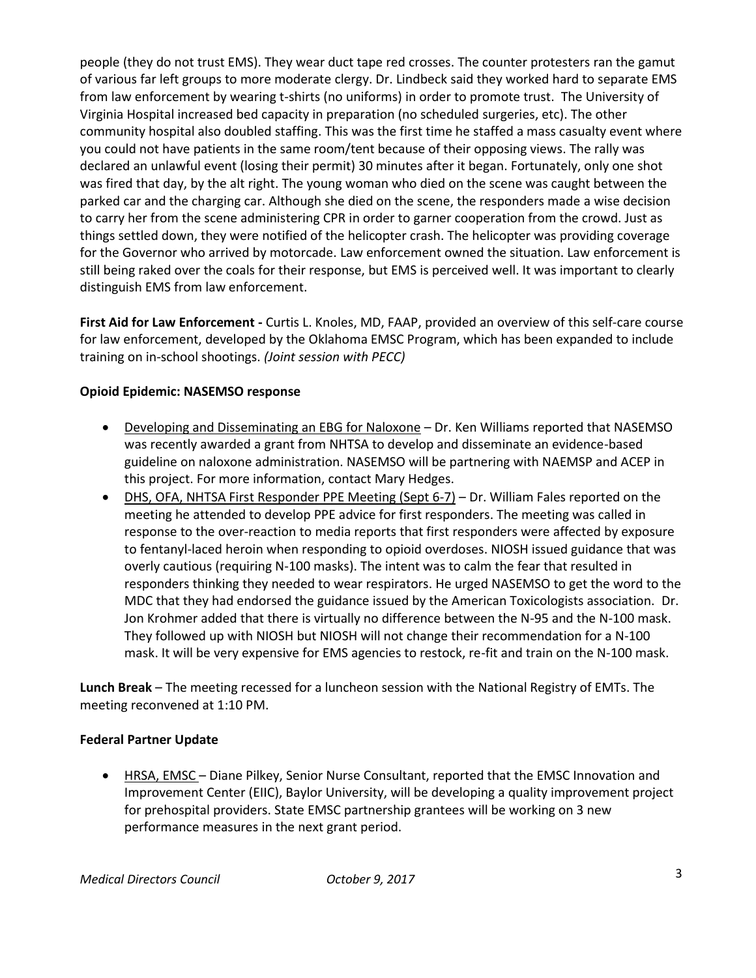people (they do not trust EMS). They wear duct tape red crosses. The counter protesters ran the gamut of various far left groups to more moderate clergy. Dr. Lindbeck said they worked hard to separate EMS from law enforcement by wearing t-shirts (no uniforms) in order to promote trust. The University of Virginia Hospital increased bed capacity in preparation (no scheduled surgeries, etc). The other community hospital also doubled staffing. This was the first time he staffed a mass casualty event where you could not have patients in the same room/tent because of their opposing views. The rally was declared an unlawful event (losing their permit) 30 minutes after it began. Fortunately, only one shot was fired that day, by the alt right. The young woman who died on the scene was caught between the parked car and the charging car. Although she died on the scene, the responders made a wise decision to carry her from the scene administering CPR in order to garner cooperation from the crowd. Just as things settled down, they were notified of the helicopter crash. The helicopter was providing coverage for the Governor who arrived by motorcade. Law enforcement owned the situation. Law enforcement is still being raked over the coals for their response, but EMS is perceived well. It was important to clearly distinguish EMS from law enforcement.

**First Aid for Law Enforcement -** Curtis L. Knoles, MD, FAAP, provided an overview of this self-care course for law enforcement, developed by the Oklahoma EMSC Program, which has been expanded to include training on in-school shootings. *(Joint session with PECC)*

## **Opioid Epidemic: NASEMSO response**

- Developing and Disseminating an EBG for Naloxone Dr. Ken Williams reported that NASEMSO was recently awarded a grant from NHTSA to develop and disseminate an evidence-based guideline on naloxone administration. NASEMSO will be partnering with NAEMSP and ACEP in this project. For more information, contact Mary Hedges.
- DHS, OFA, NHTSA First Responder PPE Meeting (Sept 6-7) Dr. William Fales reported on the meeting he attended to develop PPE advice for first responders. The meeting was called in response to the over-reaction to media reports that first responders were affected by exposure to fentanyl-laced heroin when responding to opioid overdoses. NIOSH issued guidance that was overly cautious (requiring N-100 masks). The intent was to calm the fear that resulted in responders thinking they needed to wear respirators. He urged NASEMSO to get the word to the MDC that they had endorsed the guidance issued by the American Toxicologists association. Dr. Jon Krohmer added that there is virtually no difference between the N-95 and the N-100 mask. They followed up with NIOSH but NIOSH will not change their recommendation for a N-100 mask. It will be very expensive for EMS agencies to restock, re-fit and train on the N-100 mask.

**Lunch Break** – The meeting recessed for a luncheon session with the National Registry of EMTs. The meeting reconvened at 1:10 PM.

### **Federal Partner Update**

 HRSA, EMSC – Diane Pilkey, Senior Nurse Consultant, reported that the EMSC Innovation and Improvement Center (EIIC), Baylor University, will be developing a quality improvement project for prehospital providers. State EMSC partnership grantees will be working on 3 new performance measures in the next grant period.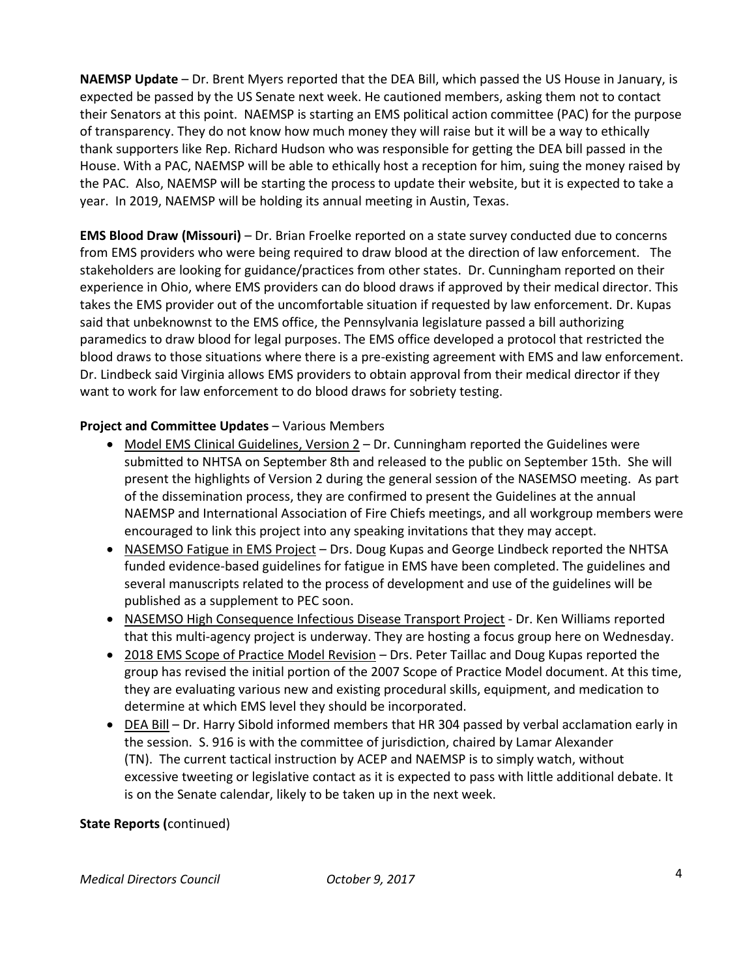**NAEMSP Update** – Dr. Brent Myers reported that the DEA Bill, which passed the US House in January, is expected be passed by the US Senate next week. He cautioned members, asking them not to contact their Senators at this point. NAEMSP is starting an EMS political action committee (PAC) for the purpose of transparency. They do not know how much money they will raise but it will be a way to ethically thank supporters like Rep. Richard Hudson who was responsible for getting the DEA bill passed in the House. With a PAC, NAEMSP will be able to ethically host a reception for him, suing the money raised by the PAC. Also, NAEMSP will be starting the process to update their website, but it is expected to take a year. In 2019, NAEMSP will be holding its annual meeting in Austin, Texas.

**EMS Blood Draw (Missouri)** – Dr. Brian Froelke reported on a state survey conducted due to concerns from EMS providers who were being required to draw blood at the direction of law enforcement. The stakeholders are looking for guidance/practices from other states. Dr. Cunningham reported on their experience in Ohio, where EMS providers can do blood draws if approved by their medical director. This takes the EMS provider out of the uncomfortable situation if requested by law enforcement. Dr. Kupas said that unbeknownst to the EMS office, the Pennsylvania legislature passed a bill authorizing paramedics to draw blood for legal purposes. The EMS office developed a protocol that restricted the blood draws to those situations where there is a pre-existing agreement with EMS and law enforcement. Dr. Lindbeck said Virginia allows EMS providers to obtain approval from their medical director if they want to work for law enforcement to do blood draws for sobriety testing.

## **Project and Committee Updates** – Various Members

- Model EMS Clinical Guidelines, Version 2 Dr. Cunningham reported the Guidelines were submitted to NHTSA on September 8th and released to the public on September 15th. She will present the highlights of Version 2 during the general session of the NASEMSO meeting. As part of the dissemination process, they are confirmed to present the Guidelines at the annual NAEMSP and International Association of Fire Chiefs meetings, and all workgroup members were encouraged to link this project into any speaking invitations that they may accept.
- NASEMSO Fatigue in EMS Project Drs. Doug Kupas and George Lindbeck reported the NHTSA funded evidence-based guidelines for fatigue in EMS have been completed. The guidelines and several manuscripts related to the process of development and use of the guidelines will be published as a supplement to PEC soon.
- NASEMSO High Consequence Infectious Disease Transport Project Dr. Ken Williams reported that this multi-agency project is underway. They are hosting a focus group here on Wednesday.
- 2018 EMS Scope of Practice Model Revision Drs. Peter Taillac and Doug Kupas reported the group has revised the initial portion of the 2007 Scope of Practice Model document. At this time, they are evaluating various new and existing procedural skills, equipment, and medication to determine at which EMS level they should be incorporated.
- DEA Bill Dr. Harry Sibold informed members that HR 304 passed by verbal acclamation early in the session. S. 916 is with the committee of jurisdiction, chaired by Lamar Alexander (TN). The current tactical instruction by ACEP and NAEMSP is to simply watch, without excessive tweeting or legislative contact as it is expected to pass with little additional debate. It is on the Senate calendar, likely to be taken up in the next week.

### **State Reports (**continued)